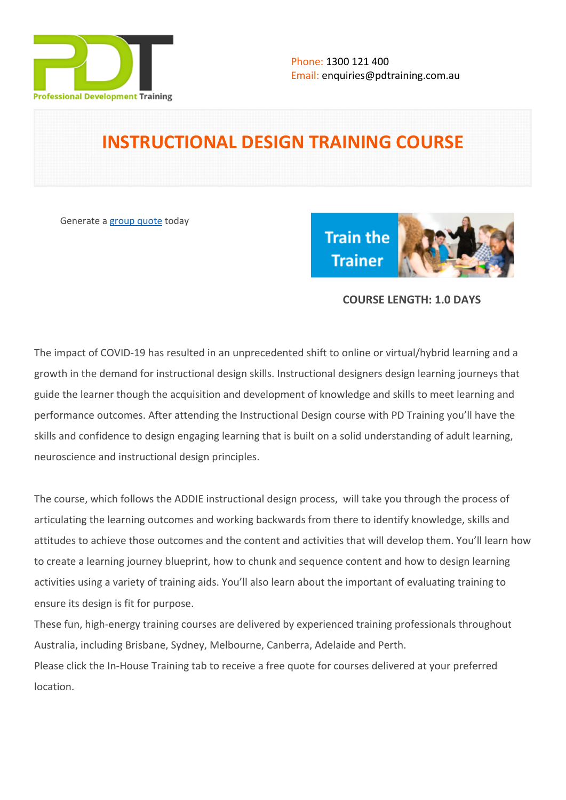

# **INSTRUCTIONAL DESIGN TRAINING COURSE**

Generate a [group quote](https://pdtraining.com.au/inhouse-training-quote?cse=PDTT487_C) today



# **COURSE LENGTH: 1.0 DAYS**

The impact of COVID-19 has resulted in an unprecedented shift to online or virtual/hybrid learning and a growth in the demand for instructional design skills. Instructional designers design learning journeys that guide the learner though the acquisition and development of knowledge and skills to meet learning and performance outcomes. After attending the Instructional Design course with PD Training you'll have the skills and confidence to design engaging learning that is built on a solid understanding of adult learning, neuroscience and instructional design principles.

The course, which follows the ADDIE instructional design process, will take you through the process of articulating the learning outcomes and working backwards from there to identify knowledge, skills and attitudes to achieve those outcomes and the content and activities that will develop them. You'll learn how to create a learning journey blueprint, how to chunk and sequence content and how to design learning activities using a variety of training aids. You'll also learn about the important of evaluating training to ensure its design is fit for purpose.

These fun, high-energy training courses are delivered by experienced training professionals throughout Australia, including Brisbane, Sydney, Melbourne, Canberra, Adelaide and Perth. Please click the In-House Training tab to receive a free quote for courses delivered at your preferred location.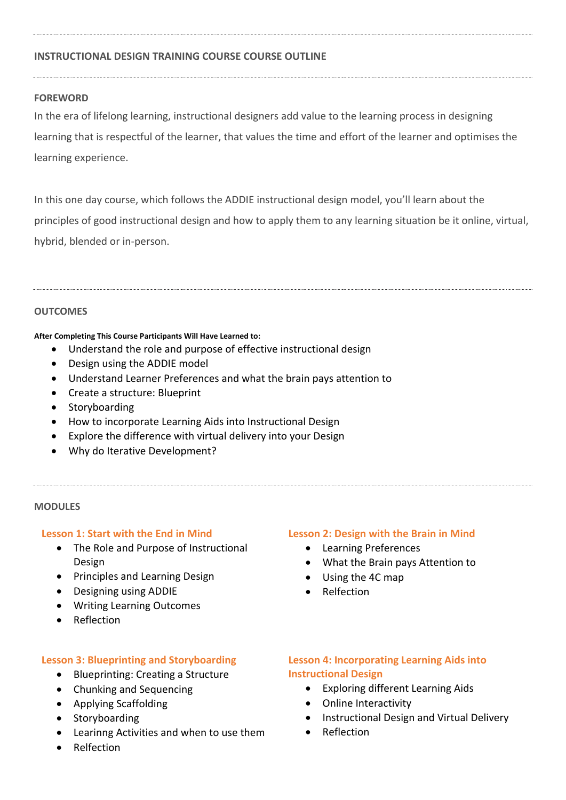# **INSTRUCTIONAL DESIGN TRAINING COURSE COURSE OUTLINE**

### **FOREWORD**

In the era of lifelong learning, instructional designers add value to the learning process in designing learning that is respectful of the learner, that values the time and effort of the learner and optimises the learning experience.

In this one day course, which follows the ADDIE instructional design model, you'll learn about the principles of good instructional design and how to apply them to any learning situation be it online, virtual, hybrid, blended or in-person.

#### **OUTCOMES**

#### **After Completing This Course Participants Will Have Learned to:**

- Understand the role and purpose of effective instructional design
- Design using the ADDIE model
- Understand Learner Preferences and what the brain pays attention to
- Create a structure: Blueprint
- Storyboarding
- How to incorporate Learning Aids into Instructional Design
- Explore the difference with virtual delivery into your Design
- Why do Iterative Development?

#### **MODULES**

### **Lesson 1: Start with the End in Mind**

- The Role and Purpose of Instructional Design
- Principles and Learning Design
- Designing using ADDIE
- Writing Learning Outcomes
- Reflection

# **Lesson 3: Blueprinting and Storyboarding**

- Blueprinting: Creating a Structure
- Chunking and Sequencing
- Applying Scaffolding
- Storyboarding
- Learinng Activities and when to use them
- Relfection

### **Lesson 2: Design with the Brain in Mind**

- Learning Preferences
- What the Brain pays Attention to
- Using the 4C map
- Relfection

# **Lesson 4: Incorporating Learning Aids into Instructional Design**

- Exploring different Learning Aids
- Online Interactivity
- Instructional Design and Virtual Delivery
- Reflection